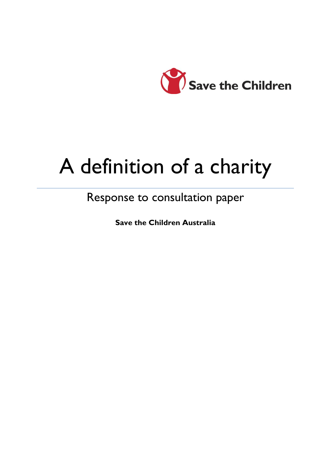

# A definition of a charity

# Response to consultation paper

**Save the Children Australia**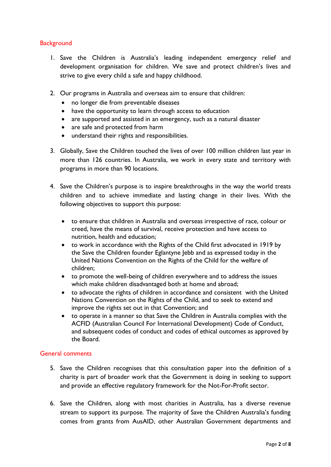# **Background**

- 1. Save the Children is Australia's leading independent emergency relief and development organisation for children. We save and protect children's lives and strive to give every child a safe and happy childhood.
- 2. Our programs in Australia and overseas aim to ensure that children:
	- no longer die from preventable diseases
	- have the opportunity to learn through access to education
	- are supported and assisted in an emergency, such as a natural disaster
	- are safe and protected from harm
	- understand their rights and responsibilities.
- 3. Globally, Save the Children touched the lives of over 100 million children last year in more than 126 countries. In Australia, we work in every state and territory with programs in more than 90 locations.
- 4. Save the Children's purpose is to inspire breakthroughs in the way the world treats children and to achieve immediate and lasting change in their lives. With the following objectives to support this purpose:
	- to ensure that children in Australia and overseas irrespective of race, colour or creed, have the means of survival, receive protection and have access to nutrition, health and education;
	- to work in accordance with the Rights of the Child first advocated in 1919 by the Save the Children founder Eglantyne Jebb and as expressed today in the United Nations Convention on the Rights of the Child for the welfare of children;
	- to promote the well-being of children everywhere and to address the issues which make children disadvantaged both at home and abroad;
	- to advocate the rights of children in accordance and consistent with the United Nations Convention on the Rights of the Child, and to seek to extend and improve the rights set out in that Convention; and
	- to operate in a manner so that Save the Children in Australia complies with the ACFID (Australian Council For International Development) Code of Conduct, and subsequent codes of conduct and codes of ethical outcomes as approved by the Board.

#### General comments

- 5. Save the Children recognises that this consultation paper into the definition of a charity is part of broader work that the Government is doing in seeking to support and provide an effective regulatory framework for the Not-For-Profit sector.
- 6. Save the Children, along with most charities in Australia, has a diverse revenue stream to support its purpose. The majority of Save the Children Australia's funding comes from grants from AusAID, other Australian Government departments and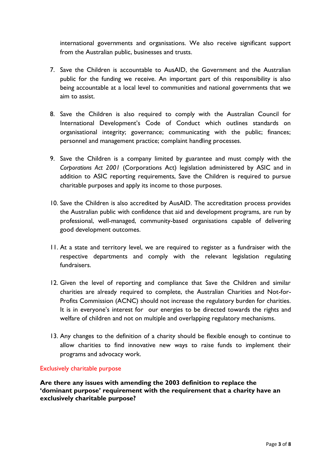international governments and organisations. We also receive significant support from the Australian public, businesses and trusts.

- 7. Save the Children is accountable to AusAID, the Government and the Australian public for the funding we receive. An important part of this responsibility is also being accountable at a local level to communities and national governments that we aim to assist.
- 8. Save the Children is also required to comply with the Australian Council for International Development's Code of Conduct which outlines standards on organisational integrity; governance; communicating with the public; finances; personnel and management practice; complaint handling processes.
- 9. Save the Children is a company limited by guarantee and must comply with the *Corporations Act 2001* (Corporations Act) legislation administered by ASIC and in addition to ASIC reporting requirements, Save the Children is required to pursue charitable purposes and apply its income to those purposes.
- 10. Save the Children is also accredited by AusAID. The accreditation process provides the Australian public with confidence that aid and development programs, are run by professional, well-managed, community-based organisations capable of delivering good development outcomes.
- 11. At a state and territory level, we are required to register as a fundraiser with the respective departments and comply with the relevant legislation regulating fundraisers.
- 12. Given the level of reporting and compliance that Save the Children and similar charities are already required to complete, the Australian Charities and Not-for-Profits Commission (ACNC) should not increase the regulatory burden for charities. It is in everyone's interest for our energies to be directed towards the rights and welfare of children and not on multiple and overlapping regulatory mechanisms.
- 13. Any changes to the definition of a charity should be flexible enough to continue to allow charities to find innovative new ways to raise funds to implement their programs and advocacy work.

#### Exclusively charitable purpose

**Are there any issues with amending the 2003 definition to replace the 'dominant purpose' requirement with the requirement that a charity have an exclusively charitable purpose?**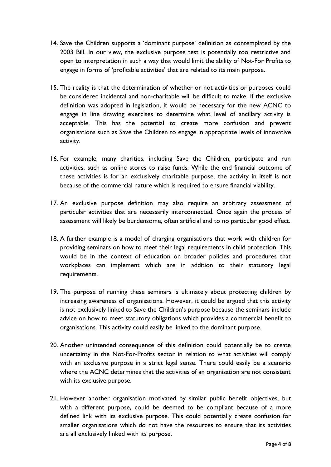- 14. Save the Children supports a 'dominant purpose' definition as contemplated by the 2003 Bill. In our view, the exclusive purpose test is potentially too restrictive and open to interpretation in such a way that would limit the ability of Not-For Profits to engage in forms of 'profitable activities' that are related to its main purpose.
- 15. The reality is that the determination of whether or not activities or purposes could be considered incidental and non-charitable will be difficult to make. If the exclusive definition was adopted in legislation, it would be necessary for the new ACNC to engage in line drawing exercises to determine what level of ancillary activity is acceptable. This has the potential to create more confusion and prevent organisations such as Save the Children to engage in appropriate levels of innovative activity.
- 16. For example, many charities, including Save the Children, participate and run activities, such as online stores to raise funds. While the end financial outcome of these activities is for an exclusively charitable purpose, the activity in itself is not because of the commercial nature which is required to ensure financial viability.
- 17. An exclusive purpose definition may also require an arbitrary assessment of particular activities that are necessarily interconnected. Once again the process of assessment will likely be burdensome, often artificial and to no particular good effect.
- 18. A further example is a model of charging organisations that work with children for providing seminars on how to meet their legal requirements in child protection. This would be in the context of education on broader policies and procedures that workplaces can implement which are in addition to their statutory legal requirements.
- 19. The purpose of running these seminars is ultimately about protecting children by increasing awareness of organisations. However, it could be argued that this activity is not exclusively linked to Save the Children's purpose because the seminars include advice on how to meet statutory obligations which provides a commercial benefit to organisations. This activity could easily be linked to the dominant purpose.
- 20. Another unintended consequence of this definition could potentially be to create uncertainty in the Not-For-Profits sector in relation to what activities will comply with an exclusive purpose in a strict legal sense. There could easily be a scenario where the ACNC determines that the activities of an organisation are not consistent with its exclusive purpose.
- 21. However another organisation motivated by similar public benefit objectives, but with a different purpose, could be deemed to be compliant because of a more defined link with its exclusive purpose. This could potentially create confusion for smaller organisations which do not have the resources to ensure that its activities are all exclusively linked with its purpose.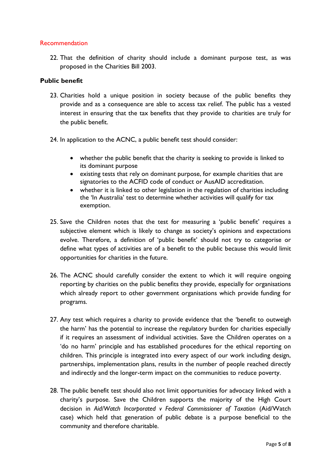#### Recommendation

22. That the definition of charity should include a dominant purpose test, as was proposed in the Charities Bill 2003.

#### **Public benefit**

- 23. Charities hold a unique position in society because of the public benefits they provide and as a consequence are able to access tax relief. The public has a vested interest in ensuring that the tax benefits that they provide to charities are truly for the public benefit.
- 24. In application to the ACNC, a public benefit test should consider:
	- whether the public benefit that the charity is seeking to provide is linked to its dominant purpose
	- existing tests that rely on dominant purpose, for example charities that are signatories to the ACFID code of conduct or AusAID accreditation.
	- whether it is linked to other legislation in the regulation of charities including the 'In Australia' test to determine whether activities will qualify for tax exemption.
- 25. Save the Children notes that the test for measuring a 'public benefit' requires a subjective element which is likely to change as society's opinions and expectations evolve. Therefore, a definition of 'public benefit' should not try to categorise or define what types of activities are of a benefit to the public because this would limit opportunities for charities in the future.
- 26. The ACNC should carefully consider the extent to which it will require ongoing reporting by charities on the public benefits they provide, especially for organisations which already report to other government organisations which provide funding for programs.
- 27. Any test which requires a charity to provide evidence that the 'benefit to outweigh the harm' has the potential to increase the regulatory burden for charities especially if it requires an assessment of individual activities. Save the Children operates on a 'do no harm' principle and has established procedures for the ethical reporting on children. This principle is integrated into every aspect of our work including design, partnerships, implementation plans, results in the number of people reached directly and indirectly and the longer-term impact on the communities to reduce poverty.
- 28. The public benefit test should also not limit opportunities for advocacy linked with a charity's purpose. Save the Children supports the majority of the High Court decision in *Aid/Watch Incorporated v Federal Commissioner of Taxation* (Aid/Watch case) which held that generation of public debate is a purpose beneficial to the community and therefore charitable.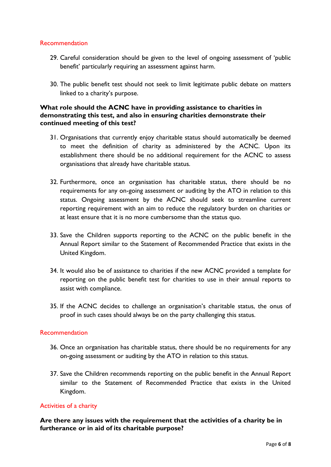#### Recommendation

- 29. Careful consideration should be given to the level of ongoing assessment of 'public benefit' particularly requiring an assessment against harm.
- 30. The public benefit test should not seek to limit legitimate public debate on matters linked to a charity's purpose.

#### **What role should the ACNC have in providing assistance to charities in demonstrating this test, and also in ensuring charities demonstrate their continued meeting of this test?**

- 31. Organisations that currently enjoy charitable status should automatically be deemed to meet the definition of charity as administered by the ACNC. Upon its establishment there should be no additional requirement for the ACNC to assess organisations that already have charitable status.
- 32. Furthermore, once an organisation has charitable status, there should be no requirements for any on-going assessment or auditing by the ATO in relation to this status. Ongoing assessment by the ACNC should seek to streamline current reporting requirement with an aim to reduce the regulatory burden on charities or at least ensure that it is no more cumbersome than the status quo.
- 33. Save the Children supports reporting to the ACNC on the public benefit in the Annual Report similar to the Statement of Recommended Practice that exists in the United Kingdom.
- 34. It would also be of assistance to charities if the new ACNC provided a template for reporting on the public benefit test for charities to use in their annual reports to assist with compliance.
- 35. If the ACNC decides to challenge an organisation's charitable status, the onus of proof in such cases should always be on the party challenging this status.

#### **Recommendation**

- 36. Once an organisation has charitable status, there should be no requirements for any on-going assessment or auditing by the ATO in relation to this status.
- 37. Save the Children recommends reporting on the public benefit in the Annual Report similar to the Statement of Recommended Practice that exists in the United Kingdom.

# Activities of a charity

**Are there any issues with the requirement that the activities of a charity be in furtherance or in aid of its charitable purpose?**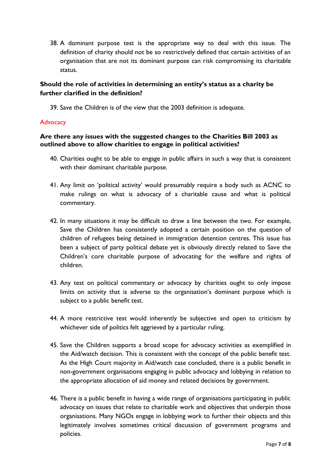38. A dominant purpose test is the appropriate way to deal with this issue. The definition of charity should not be so restrictively defined that certain activities of an organisation that are not its dominant purpose can risk compromising its charitable status.

# **Should the role of activities in determining an entity's status as a charity be further clarified in the definition?**

39. Save the Children is of the view that the 2003 definition is adequate.

#### **Advocacy**

# **Are there any issues with the suggested changes to the Charities Bill 2003 as outlined above to allow charities to engage in political activities?**

- 40. Charities ought to be able to engage in public affairs in such a way that is consistent with their dominant charitable purpose.
- 41. Any limit on 'political activity' would presumably require a body such as ACNC to make rulings on what is advocacy of a charitable cause and what is political commentary.
- 42. In many situations it may be difficult to draw a line between the two. For example, Save the Children has consistently adopted a certain position on the question of children of refugees being detained in immigration detention centres. This issue has been a subject of party political debate yet is obviously directly related to Save the Children's core charitable purpose of advocating for the welfare and rights of children.
- 43. Any test on political commentary or advocacy by charities ought to only impose limits on activity that is adverse to the organisation's dominant purpose which is subject to a public benefit test.
- 44. A more restrictive test would inherently be subjective and open to criticism by whichever side of politics felt aggrieved by a particular ruling.
- 45. Save the Children supports a broad scope for advocacy activities as exemplified in the Aid/watch decision. This is consistent with the concept of the public benefit test. As the High Court majority in Aid/watch case concluded, there is a public benefit in non-government organisations engaging in public advocacy and lobbying in relation to the appropriate allocation of aid money and related decisions by government.
- 46. There is a public benefit in having a wide range of organisations participating in public advocacy on issues that relate to charitable work and objectives that underpin those organisations. Many NGOs engage in lobbying work to further their objects and this legitimately involves sometimes critical discussion of government programs and policies.